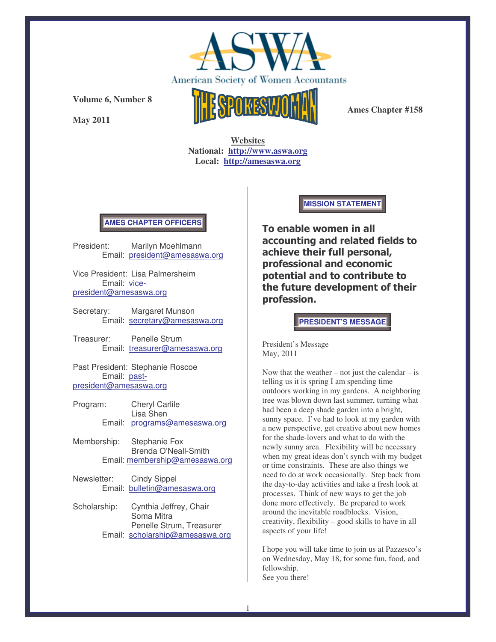

**May 2011**



**Ames Chapter #158**

**Websites National: http://www.aswa.org Local: http://amesaswa.org**

### **AMES CHAPTER OFFICERS**

President: Marilyn Moehlmann Email: president@amesaswa.org

Vice President: Lisa Palmersheim Email: vicepresident@amesaswa.org

Secretary: Margaret Munson Email: secretary@amesaswa.org

Treasurer: Penelle Strum Email: treasurer@amesaswa.org

Past President: Stephanie Roscoe Email: pastpresident@amesaswa.org

- Program: Cheryl Carlile Lisa Shen Email: programs@amesaswa.org
- Membership: Stephanie Fox Brenda O'Neall-Smith Email: membership@amesaswa.org
- Newsletter: Cindy Sippel Email: bulletin@amesaswa.org
- Scholarship: Cynthia Jeffrey, Chair Soma Mitra Penelle Strum, Treasurer Email: scholarship@amesaswa.org

**MISSION STATEMENT**

To enable women in all accounting and related fields to achieve their full personal, professional and economic potential and to contribute to the future development of their profession.

**PRESIDENT'S MESSAGE**

President's Message May, 2011

Now that the weather – not just the calendar – is telling us it is spring I am spending time outdoors working in my gardens. A neighboring tree was blown down last summer, turning what had been a deep shade garden into a bright, sunny space. I've had to look at my garden with a new perspective, get creative about new homes for the shade-lovers and what to do with the newly sunny area. Flexibility will be necessary when my great ideas don't synch with my budget or time constraints. These are also things we need to do at work occasionally. Step back from the day-to-day activities and take a fresh look at processes. Think of new ways to get the job done more effectively. Be prepared to work around the inevitable roadblocks. Vision, creativity, flexibility – good skills to have in all aspects of your life!

I hope you will take time to join us at Pazzesco's on Wednesday, May 18, for some fun, food, and fellowship. See you there!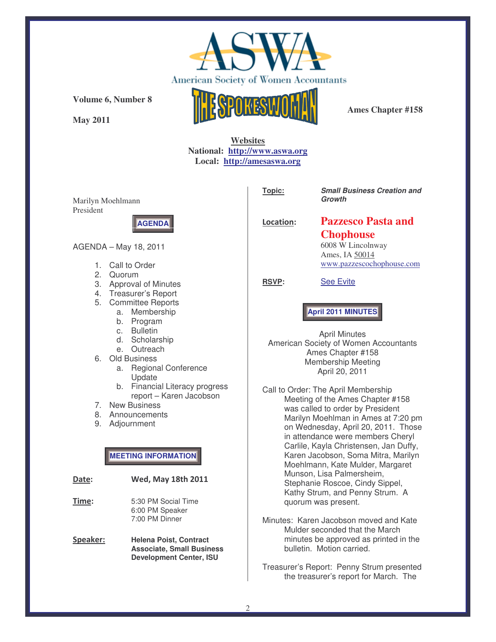

**May 2011**



**Ames Chapter #158**

## **Websites National: http://www.aswa.org Local: http://amesaswa.org**

Marilyn Moehlmann President



**Topic:** *Small Business Creation and Growth*

Location:

# **Pazzesco Pasta and Chophouse**

6008 W Lincolnway Ames, IA 50014 www.pazzescochophouse.com

**RSVP:** See Evite

**April 2011 MINUTES**

April Minutes American Society of Women Accountants Ames Chapter #158 Membership Meeting April 20, 2011

Call to Order: The April Membership Meeting of the Ames Chapter #158 was called to order by President Marilyn Moehlman in Ames at 7:20 pm on Wednesday, April 20, 2011. Those in attendance were members Cheryl Carlile, Kayla Christensen, Jan Duffy, Karen Jacobson, Soma Mitra, Marilyn Moehlmann, Kate Mulder, Margaret Munson, Lisa Palmersheim, Stephanie Roscoe, Cindy Sippel, Kathy Strum, and Penny Strum. A quorum was present.

- Minutes: Karen Jacobson moved and Kate Mulder seconded that the March minutes be approved as printed in the bulletin. Motion carried.
- Treasurer's Report: Penny Strum presented the treasurer's report for March. The

### AGENDA – May 18, 2011

- 1. Call to Order
- 2. Quorum
- 3. Approval of Minutes
- 4. Treasurer's Report
- 5. Committee Reports
	- a. Membership
		- b. Program
		- c. Bulletin
		- d. Scholarship
	- e. Outreach
- 6. Old Business
	- a. Regional Conference Update
	- b. Financial Literacy progress report – Karen Jacobson
- 7. New Business
- 8. Announcements
- 9. Adjournment

**MEETING INFORMATION**

| Date:          | <b>Wed, May 18th 2011</b>                                                                           |
|----------------|-----------------------------------------------------------------------------------------------------|
| T <u>ime</u> : | 5:30 PM Social Time<br>6:00 PM Speaker<br>7:00 PM Dinner                                            |
| Speaker:       | <b>Helena Poist, Contract</b><br><b>Associate, Small Business</b><br><b>Development Center, ISU</b> |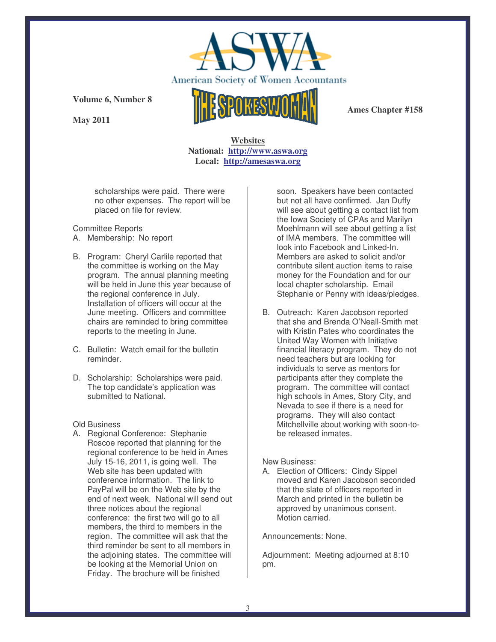

**May 2011**



**Ames Chapter #158**

**Websites National: http://www.aswa.org Local: http://amesaswa.org**

scholarships were paid. There were no other expenses. The report will be placed on file for review.

#### Committee Reports

- A. Membership: No report
- B. Program: Cheryl Carlile reported that the committee is working on the May program. The annual planning meeting will be held in June this year because of the regional conference in July. Installation of officers will occur at the June meeting. Officers and committee chairs are reminded to bring committee reports to the meeting in June.
- C. Bulletin: Watch email for the bulletin reminder.
- D. Scholarship: Scholarships were paid. The top candidate's application was submitted to National.

Old Business

A. Regional Conference: Stephanie Roscoe reported that planning for the regional conference to be held in Ames July 15-16, 2011, is going well. The Web site has been updated with conference information. The link to PayPal will be on the Web site by the end of next week. National will send out three notices about the regional conference: the first two will go to all members, the third to members in the region. The committee will ask that the third reminder be sent to all members in the adjoining states. The committee will be looking at the Memorial Union on Friday. The brochure will be finished

soon. Speakers have been contacted but not all have confirmed. Jan Duffy will see about getting a contact list from the Iowa Society of CPAs and Marilyn Moehlmann will see about getting a list of IMA members. The committee will look into Facebook and Linked-In. Members are asked to solicit and/or contribute silent auction items to raise money for the Foundation and for our local chapter scholarship. Email Stephanie or Penny with ideas/pledges.

B. Outreach: Karen Jacobson reported that she and Brenda O'Neall-Smith met with Kristin Pates who coordinates the United Way Women with Initiative financial literacy program. They do not need teachers but are looking for individuals to serve as mentors for participants after they complete the program. The committee will contact high schools in Ames, Story City, and Nevada to see if there is a need for programs. They will also contact Mitchellville about working with soon-tobe released inmates.

### New Business:

A. Election of Officers: Cindy Sippel moved and Karen Jacobson seconded that the slate of officers reported in March and printed in the bulletin be approved by unanimous consent. Motion carried.

Announcements: None.

Adjournment: Meeting adjourned at 8:10 pm.